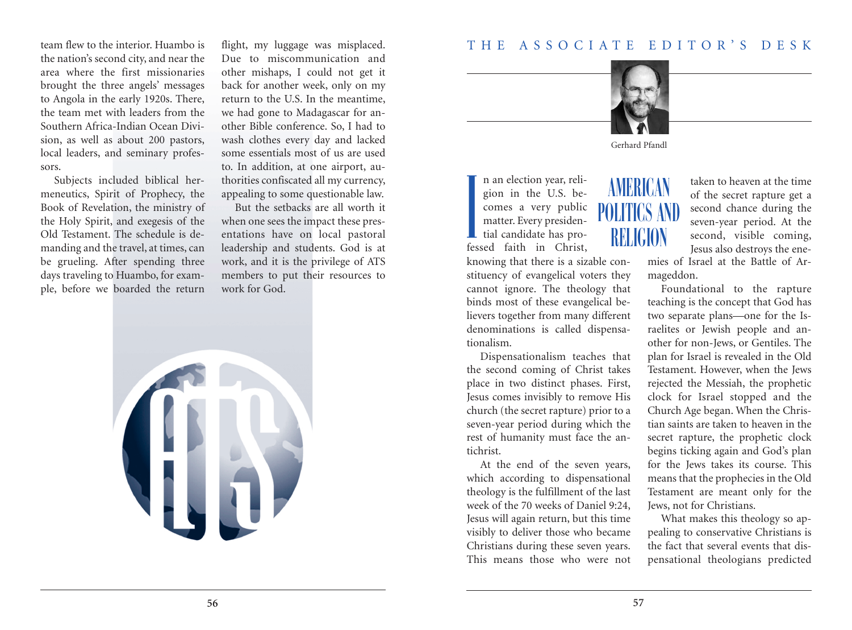

Gerhard Pfandl

AMERICAN

POLITICS AND

RELIGION

n an election year, religion in the U.S. becomes a very public matter. Every presidential candidate has professed faith in Christ **I**<br>I<br>I<br>I

knowing that there is a sizable constituency of evangelical voters they cannot ignore. The theology that binds most of these evangelical believers together from many different denominations is called dispensationalism.

Dispensationalism teaches that the second coming of Christ takes place in two distinct phases. First, Jesus comes invisibly to remove His church (the secret rapture) prior to a seven-year period during which the rest of humanity must face the antichrist.

At the end of the seven years, which according to dispensational theology is the fulfillment of the last week of the 70 weeks of Daniel 9:24, Jesus will again return, but this time visibly to deliver those who became Christians during these seven years. This means those who were not

taken to heaven at the time of the secret rapture get a second chance during the seven-year period. At the second, visible coming, Jesus also destroys the ene-

mies of Israel at the Battle of Armageddon.

Foundational to the rapture teaching is the concept that God has two separate plans—one for the Israelites or Jewish people and another for non-Jews, or Gentiles. The plan for Israel is revealed in the Old Testament. However, when the Jews rejected the Messiah, the prophetic clock for Israel stopped and the Church Age began. When the Christian saints are taken to heaven in the secret rapture, the prophetic clock begins ticking again and God's plan for the Jews takes its course. This means that the prophecies in the Old Testament are meant only for the Jews, not for Christians.

What makes this theology so appealing to conservative Christians is the fact that several events that dispensational theologians predicted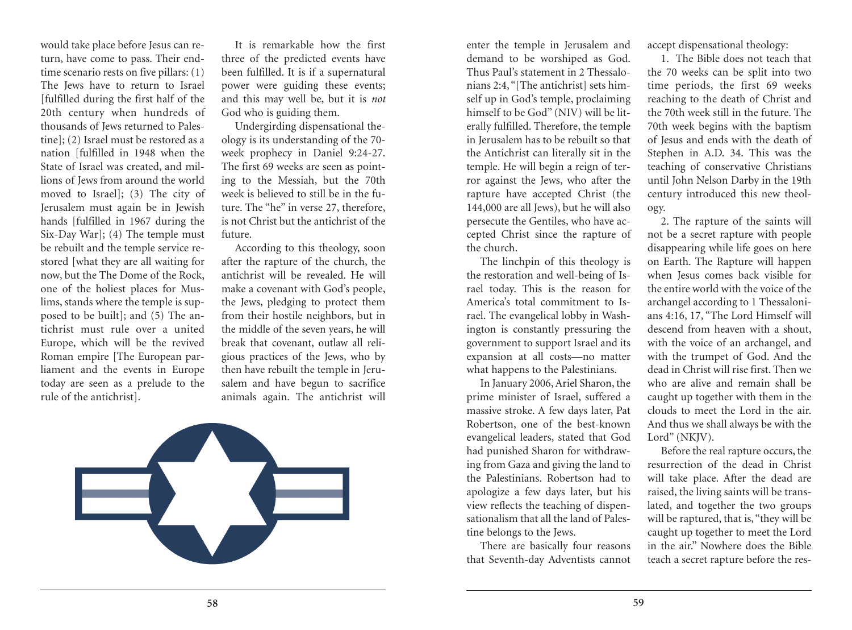would take place before Jesus can return, have come to pass. Their endtime scenario rests on five pillars: (1) The Jews have to return to Israel [fulfilled during the first half of the 20th century when hundreds of thousands of Jews returned to Palestine]; (2) Israel must be restored as a nation [fulfilled in 1948 when the State of Israel was created, and millions of Jews from around the world moved to Israel]; (3) The city of Jerusalem must again be in Jewish hands [fulfilled in 1967 during the Six-Day War]; (4) The temple must be rebuilt and the temple service restored [what they are all waiting for now, but the The Dome of the Rock, one of the holiest places for Muslims, stands where the temple is supposed to be built]; and (5) The antichrist must rule over a united Europe, which will be the revived Roman empire [The European parliament and the events in Europe today are seen as a prelude to the rule of the antichrist].

It is remarkable how the first three of the predicted events have been fulfilled. It is if a supernatural power were guiding these events; and this may well be, but it is *not* God who is guiding them.

Undergirding dispensational theology is its understanding of the 70 week prophecy in Daniel 9:24-27. The first 69 weeks are seen as pointing to the Messiah, but the 70th week is believed to still be in the future. The "he" in verse 27, therefore, is not Christ but the antichrist of the future.

According to this theology, soon after the rapture of the church, the antichrist will be revealed. He will make a covenant with God's people, the Jews, pledging to protect them from their hostile neighbors, but in the middle of the seven years, he will break that covenant, outlaw all religious practices of the Jews, who by then have rebuilt the temple in Jerusalem and have begun to sacrifice animals again. The antichrist will



enter the temple in Jerusalem and demand to be worshiped as God. Thus Paul's statement in 2 Thessalonians 2:4, "[The antichrist] sets himself up in God's temple, proclaiming himself to be God" (NIV) will be literally fulfilled. Therefore, the temple in Jerusalem has to be rebuilt so that the Antichrist can literally sit in the temple. He will begin a reign of terror against the Jews, who after the rapture have accepted Christ (the 144,000 are all Jews), but he will also persecute the Gentiles, who have accepted Christ since the rapture of the church.

The linchpin of this theology is the restoration and well-being of Israel today. This is the reason for America's total commitment to Israel. The evangelical lobby in Washington is constantly pressuring the government to support Israel and its expansion at all costs—no matter what happens to the Palestinians.

In January 2006,Ariel Sharon, the prime minister of Israel, suffered a massive stroke. A few days later, Pat Robertson, one of the best-known evangelical leaders, stated that God had punished Sharon for withdrawing from Gaza and giving the land to the Palestinians. Robertson had to apologize a few days later, but his view reflects the teaching of dispensationalism that all the land of Palestine belongs to the Jews.

There are basically four reasons that Seventh-day Adventists cannot

accept dispensational theology:

1. The Bible does not teach that the 70 weeks can be split into two time periods, the first 69 weeks reaching to the death of Christ and the 70th week still in the future. The 70th week begins with the baptism of Jesus and ends with the death of Stephen in A.D. 34. This was the teaching of conservative Christians until John Nelson Darby in the 19th century introduced this new theology.

2. The rapture of the saints will not be a secret rapture with people disappearing while life goes on here on Earth. The Rapture will happen when Jesus comes back visible for the entire world with the voice of the archangel according to 1 Thessalonians 4:16, 17, "The Lord Himself will descend from heaven with a shout, with the voice of an archangel, and with the trumpet of God. And the dead in Christ will rise first. Then we who are alive and remain shall be caught up together with them in the clouds to meet the Lord in the air. And thus we shall always be with the Lord" (NKJV).

Before the real rapture occurs, the resurrection of the dead in Christ will take place. After the dead are raised, the living saints will be translated, and together the two groups will be raptured, that is, "they will be caught up together to meet the Lord in the air." Nowhere does the Bible teach a secret rapture before the res